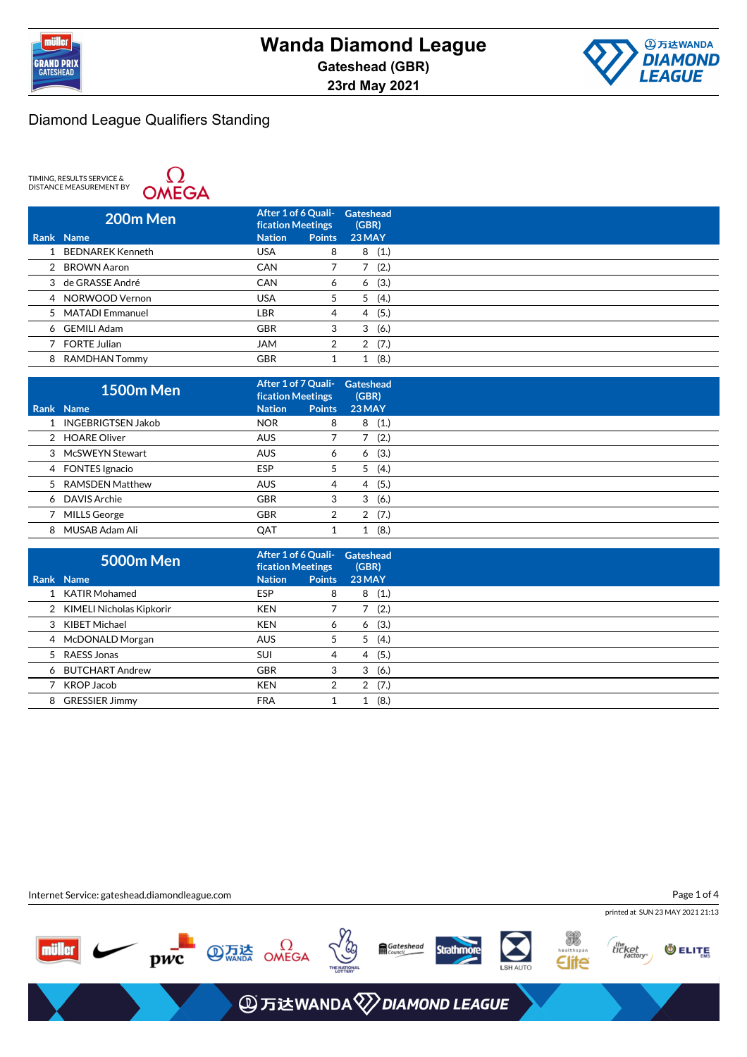



TIMING, RESULTS SERVICE &<br>DISTANCE MEASUREMENT BY



|   | 200m Men                | After 1 of 6 Quali-<br><b>fication Meetings</b> |               | Gateshead<br>(GBR) |  |
|---|-------------------------|-------------------------------------------------|---------------|--------------------|--|
|   | Rank Name               | <b>Nation</b>                                   | <b>Points</b> | <b>23 MAY</b>      |  |
|   | <b>BEDNAREK Kenneth</b> | <b>USA</b>                                      | 8             | (1.)<br>8          |  |
| 2 | <b>BROWN Aaron</b>      | <b>CAN</b>                                      |               | (2.)               |  |
| 3 | de GRASSE André         | <b>CAN</b>                                      | 6             | (3.)<br>6          |  |
| 4 | NORWOOD Vernon          | <b>USA</b>                                      | 5             | 5<br>(4.)          |  |
|   | 5 MATADI Emmanuel       | LBR                                             | 4             | (5.)<br>4          |  |
|   | 6 GEMILI Adam           | <b>GBR</b>                                      | 3             | (6.)<br>3          |  |
|   | <b>FORTE Julian</b>     | <b>JAM</b>                                      | 2             | (7.)<br>2          |  |
| 8 | <b>RAMDHAN Tommy</b>    | <b>GBR</b>                                      |               | (8.)               |  |

|   | <b>1500m Men</b>          | After 1 of 7 Quali-<br><b>fication Meetings</b> |               | Gateshead<br>(GBR) |
|---|---------------------------|-------------------------------------------------|---------------|--------------------|
|   | Rank Name                 | <b>Nation</b>                                   | <b>Points</b> | $23$ MAY           |
|   | <b>INGEBRIGTSEN Jakob</b> | <b>NOR</b>                                      | 8             | (1.)<br>8          |
|   | 2 HOARE Oliver            | <b>AUS</b>                                      |               | (2.)               |
| 3 | McSWEYN Stewart           | <b>AUS</b>                                      | 6             | (3.)<br>6          |
|   | 4 FONTES Ignacio          | <b>ESP</b>                                      | 5             | (4.)<br>5          |
|   | 5 RAMSDEN Matthew         | <b>AUS</b>                                      | 4             | (5.)<br>4          |
|   | 6 DAVIS Archie            | <b>GBR</b>                                      | 3             | 3<br>(6.)          |
|   | <b>MILLS George</b>       | <b>GBR</b>                                      |               | (7.)<br>2          |
| 8 | MUSAB Adam Ali            | QAT                                             |               | (8.)               |

| <b>5000m Men</b> |                                                                                                                                                              |   | Gateshead<br>(GBR)                                               |
|------------------|--------------------------------------------------------------------------------------------------------------------------------------------------------------|---|------------------------------------------------------------------|
|                  | <b>Nation</b>                                                                                                                                                |   | $23$ MAY                                                         |
|                  | <b>ESP</b>                                                                                                                                                   | 8 | (1.)<br>8                                                        |
|                  | <b>KEN</b>                                                                                                                                                   |   | (2.)                                                             |
|                  | <b>KEN</b>                                                                                                                                                   | 6 | (3.)<br>6                                                        |
|                  | <b>AUS</b>                                                                                                                                                   | 5 | (4.)<br>5                                                        |
|                  | <b>SUI</b>                                                                                                                                                   | 4 | (5.)<br>4                                                        |
|                  | <b>GBR</b>                                                                                                                                                   | 3 | (6.)<br>3                                                        |
| KROP Jacob       | <b>KEN</b>                                                                                                                                                   | 2 | (7.)<br>2                                                        |
|                  | <b>FRA</b>                                                                                                                                                   |   | (8.)                                                             |
|                  | Rank Name<br>1 KATIR Mohamed<br>2 KIMELI Nicholas Kipkorir<br>3 KIBET Michael<br>4 McDONALD Morgan<br>5 RAESS Jonas<br>6 BUTCHART Andrew<br>8 GRESSIER Jimmy |   | After 1 of 6 Quali-<br><b>fication Meetings</b><br><b>Points</b> |

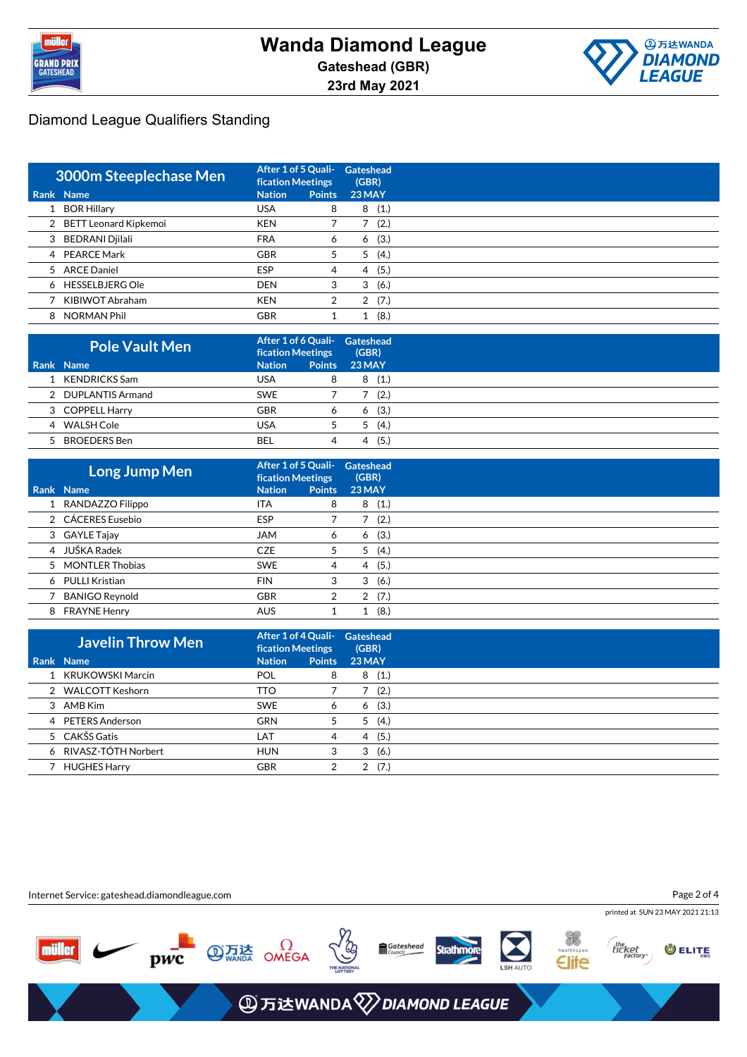



| 3000m Steeplechase Men  | After 1 of 5 Quali-<br><b>fication Meetings</b> |               | Gateshead<br>(GBR) |      |
|-------------------------|-------------------------------------------------|---------------|--------------------|------|
| Rank Name               | <b>Nation</b>                                   | <b>Points</b> | <b>23 MAY</b>      |      |
| 1 BOR Hillary           | <b>USA</b>                                      | 8             | 8                  | (1.) |
| 2 BETT Leonard Kipkemoi | <b>KEN</b>                                      |               |                    | (2.) |
| 3 BEDRANI Djilali       | <b>FRA</b>                                      | 6             | 6                  | (3.) |
| 4 PEARCE Mark           | <b>GBR</b>                                      | 5             | 5                  | (4.) |
| 5 ARCE Daniel           | <b>ESP</b>                                      | 4             | 4                  | (5.) |
| 6 HESSELBJERG Ole       | <b>DEN</b>                                      | 3             | 3                  | (6.) |
| KIBIWOT Abraham         | <b>KEN</b>                                      | 2             | 2                  | (7.) |
| 8 NORMAN Phil           | <b>GBR</b>                                      |               |                    | (8.) |

| <b>Pole Vault Men</b> | After 1 of 6 Quali- Gateshead<br><b>fication Meetings</b> |               | (GBR)     |
|-----------------------|-----------------------------------------------------------|---------------|-----------|
| Rank Name             | <b>Nation</b>                                             | <b>Points</b> | $23$ MAY  |
| KENDRICKS Sam         | USA                                                       | 8             | (1.)<br>8 |
| 2 DUPLANTIS Armand    | <b>SWE</b>                                                |               | (2)       |
| 3 COPPELL Harry       | <b>GBR</b>                                                | Ô             | (3.)<br>Ô |
| 4 WALSH Cole          | USA                                                       |               | (4)       |
| 5 BROEDERS Ben        | <b>BEL</b>                                                | 4             | (5.<br>4  |

| <b>Long Jump Men</b> | After 1 of 5 Quali-<br><b>fication Meetings</b> |               | Gateshead<br>(GBR) |  |
|----------------------|-------------------------------------------------|---------------|--------------------|--|
| Rank Name            | <b>Nation</b>                                   | <b>Points</b> | <b>23 MAY</b>      |  |
| 1 RANDAZZO Filippo   | ITA                                             | 8             | (1.)<br>8          |  |
| 2 CÁCERES Eusebio    | <b>ESP</b>                                      |               | (2.)               |  |
| 3 GAYLE Tajay        | <b>JAM</b>                                      | 6             | (3.)<br>6          |  |
| 4 JUŠKA Radek        | <b>CZE</b>                                      | 5             | (4.)<br>5          |  |
| 5 MONTLER Thobias    | <b>SWE</b>                                      | 4             | (5.)<br>4          |  |
| 6 PULLI Kristian     | <b>FIN</b>                                      | 3             | (6.)<br>3          |  |
| 7 BANIGO Reynold     | <b>GBR</b>                                      | 2             | (7.)<br>2          |  |
| 8 FRAYNE Henry       | <b>AUS</b>                                      |               | (8)                |  |

| <b>Javelin Throw Men</b> | After 1 of 4 Quali-<br><b>fication Meetings</b> |               | Gateshead<br>(GBR) |  |
|--------------------------|-------------------------------------------------|---------------|--------------------|--|
| Rank Name                | <b>Nation</b>                                   | <b>Points</b> | 23 MAY             |  |
| 1 KRUKOWSKI Marcin       | POL                                             | 8             | (1.)<br>8          |  |
| 2 WALCOTT Keshorn        | TTO                                             |               | (2.)               |  |
| 3 AMB Kim                | <b>SWE</b>                                      | 6             | (3.)<br>6          |  |
| 4 PETERS Anderson        | <b>GRN</b>                                      | 5             | (4.)<br>5          |  |
| 5 CAKŠS Gatis            | LAT                                             | 4             | (5.)<br>4          |  |
| 6 RIVASZ-TÓTH Norbert    | <b>HUN</b>                                      | 3             | (6.)<br>3          |  |
| <b>HUGHES Harry</b>      | <b>GBR</b>                                      |               | (7.)               |  |

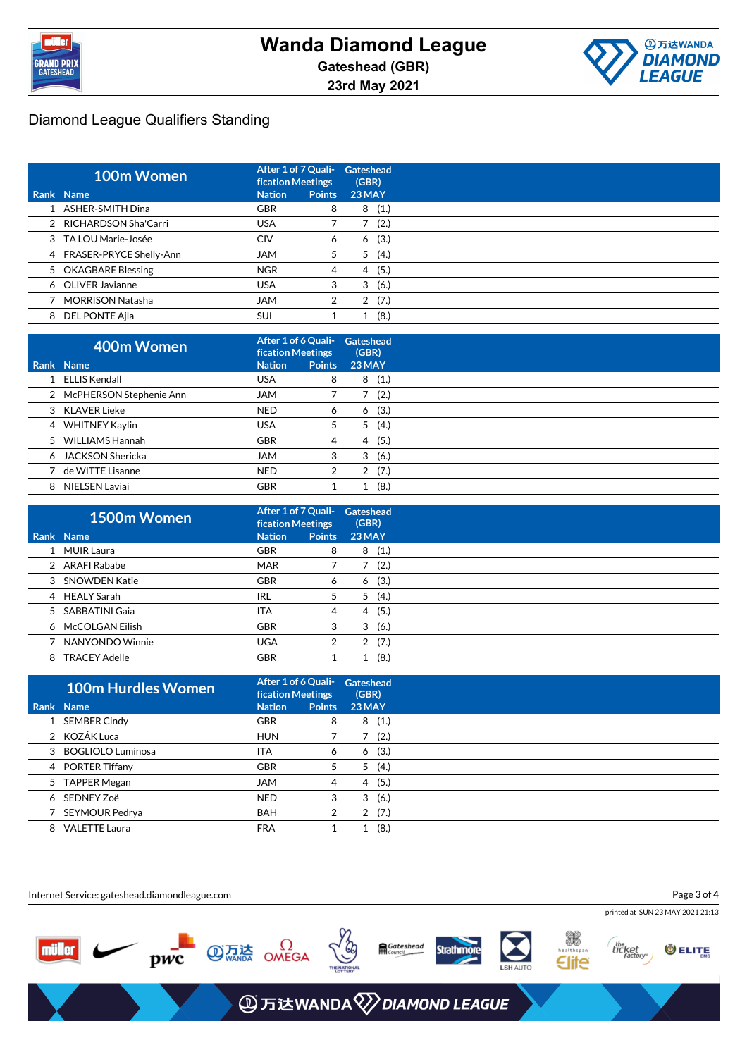



| 100m Women                | After 1 of 7 Quali-<br><b>fication Meetings</b> |               | Gateshead<br>(GBR) |
|---------------------------|-------------------------------------------------|---------------|--------------------|
| Rank Name                 | <b>Nation</b>                                   | <b>Points</b> | 23 MAY             |
| 1 ASHER-SMITH Dina        | <b>GBR</b>                                      | 8             | (1.)<br>8          |
| 2 RICHARDSON Sha'Carri    | <b>USA</b>                                      |               | (2.)               |
| 3 TA LOU Marie-Josée      | <b>CIV</b>                                      | 6             | (3.)<br>6          |
| 4 FRASER-PRYCE Shelly-Ann | <b>JAM</b>                                      | 5             | (4.)<br>5          |
| 5 OKAGBARE Blessing       | <b>NGR</b>                                      | 4             | (5.)<br>4          |
| 6 OLIVER Javianne         | <b>USA</b>                                      | 3             | (6.)<br>3          |
| <b>MORRISON Natasha</b>   | <b>JAM</b>                                      | 2             | (7.)<br>2          |
| 8 DEL PONTE Ajla          | <b>SUI</b>                                      |               | (8.)               |

|   | 400m Women                | After 1 of 6 Quali-<br><b>fication Meetings</b> |               | Gateshead<br>(GBR) |
|---|---------------------------|-------------------------------------------------|---------------|--------------------|
|   | Rank Name                 | <b>Nation</b>                                   | <b>Points</b> | <b>23 MAY</b>      |
|   | <b>ELLIS Kendall</b>      | <b>USA</b>                                      | 8             | (1.)<br>8          |
|   | 2 McPHERSON Stephenie Ann | <b>JAM</b>                                      |               | (2.)               |
|   | 3 KLAVER Lieke            | <b>NED</b>                                      | 6             | (3.)<br>6          |
|   | 4 WHITNEY Kaylin          | <b>USA</b>                                      | 5             | (4.)<br>5          |
|   | 5 WILLIAMS Hannah         | <b>GBR</b>                                      | 4             | (5.)<br>4          |
|   | 6 JACKSON Shericka        | <b>JAM</b>                                      | 3             | (6.)<br>3          |
|   | de WITTE Lisanne          | <b>NED</b>                                      | 2             | (7.)<br>2          |
| 8 | NIELSEN Laviai            | <b>GBR</b>                                      |               | (8)                |

| 1500m Women       | After 1 of 7 Quali-<br><b>fication Meetings</b> |               | Gateshead<br>(GBR) |
|-------------------|-------------------------------------------------|---------------|--------------------|
| Rank Name         | <b>Nation</b>                                   | <b>Points</b> | <b>23 MAY</b>      |
| 1 MUIR Laura      | <b>GBR</b>                                      | 8             | (1.)<br>8          |
| 2 ARAFI Rababe    | <b>MAR</b>                                      |               | (2.)               |
| 3 SNOWDEN Katie   | <b>GBR</b>                                      | 6             | (3.)<br>6          |
| 4 HEALY Sarah     | IRL                                             | 5             | (4.)<br>5          |
| 5 SABBATINI Gaia  | <b>ITA</b>                                      | 4             | (5.)<br>4          |
| 6 McCOLGAN Eilish | <b>GBR</b>                                      | 3             | (6.)<br>3          |
| NANYONDO Winnie   | <b>UGA</b>                                      | 2             | (7.)<br>2          |
| 8 TRACEY Adelle   | <b>GBR</b>                                      |               | (8.)               |

| <b>100m Hurdles Women</b> | After 1 of 6 Quali-<br><b>fication Meetings</b> |               | Gateshead<br>(GBR) |
|---------------------------|-------------------------------------------------|---------------|--------------------|
| Rank Name                 | <b>Nation</b>                                   | <b>Points</b> | $23$ MAY           |
| 1 SEMBER Cindy            | <b>GBR</b>                                      | 8             | (1.)<br>8          |
| 2 KOZÁK Luca              | <b>HUN</b>                                      |               | (2.)               |
| 3 BOGLIOLO Luminosa       | <b>ITA</b>                                      | 6             | (3.)<br>6          |
| 4 PORTER Tiffany          | <b>GBR</b>                                      | 5             | 5<br>(4.)          |
| 5 TAPPER Megan            | <b>JAM</b>                                      | 4             | (5.)<br>4          |
| 6 SEDNEY Zoë              | <b>NED</b>                                      | 3             | (6.)<br>3          |
| 7 SEYMOUR Pedrya          | <b>BAH</b>                                      | 2             | (7.)<br>2          |
| 8 VALETTE Laura           | <b>FRA</b>                                      |               | (8.)               |

Internet Service: gateshead.diamondleague.com Page 3 of 4printed at SUN 23 MAY 2021 21:13 **PWC WARE OMEGA** the<br>ticket<br>factory\* Gateshead müller **Strathmore** O ELITE Elite **④万达WANDA** 2DIAMOND LEAGUE